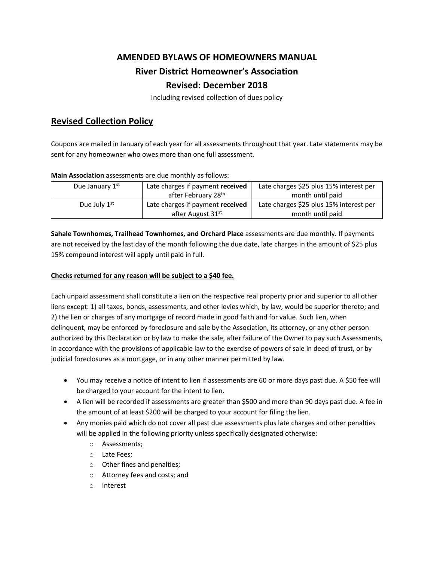## **AMENDED BYLAWS OF HOMEOWNERS MANUAL River District Homeowner's Association Revised: December 2018**

Including revised collection of dues policy

## **Revised Collection Policy**

Coupons are mailed in January of each year for all assessments throughout that year. Late statements may be sent for any homeowner who owes more than one full assessment.

| <b>IVIGHT ASSOCIATION</b> assessments are the Highliny as idilows. |                                  |                                         |
|--------------------------------------------------------------------|----------------------------------|-----------------------------------------|
| Due January 1st                                                    | Late charges if payment received | Late charges \$25 plus 15% interest per |
|                                                                    | after February 28 <sup>th</sup>  | month until paid                        |
| Due July $1st$                                                     | Late charges if payment received | Late charges \$25 plus 15% interest per |
|                                                                    | after August 31st                | month until paid                        |

**Main Association** assessments are due monthly as follows:

**Sahale Townhomes, Trailhead Townhomes, and Orchard Place** assessments are due monthly. If payments are not received by the last day of the month following the due date, late charges in the amount of \$25 plus 15% compound interest will apply until paid in full.

## **Checks returned for any reason will be subject to a \$40 fee.**

Each unpaid assessment shall constitute a lien on the respective real property prior and superior to all other liens except: 1) all taxes, bonds, assessments, and other levies which, by law, would be superior thereto; and 2) the lien or charges of any mortgage of record made in good faith and for value. Such lien, when delinquent, may be enforced by foreclosure and sale by the Association, its attorney, or any other person authorized by this Declaration or by law to make the sale, after failure of the Owner to pay such Assessments, in accordance with the provisions of applicable law to the exercise of powers of sale in deed of trust, or by judicial foreclosures as a mortgage, or in any other manner permitted by law.

- You may receive a notice of intent to lien if assessments are 60 or more days past due. A \$50 fee will be charged to your account for the intent to lien.
- A lien will be recorded if assessments are greater than \$500 and more than 90 days past due. A fee in the amount of at least \$200 will be charged to your account for filing the lien.
- Any monies paid which do not cover all past due assessments plus late charges and other penalties will be applied in the following priority unless specifically designated otherwise:
	- o Assessments;
	- o Late Fees;
	- o Other fines and penalties;
	- o Attorney fees and costs; and
	- o Interest